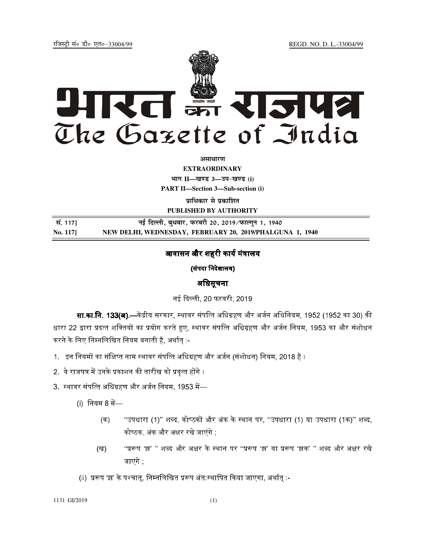jftLVªh laö Mhö ,yö&33004@99 REGD. NO. D. L.-33004/99



**vlk/kj.k**

**EXTRAORDINARY**  $4$ **HTT**  $II$ —*l***avs** 3—34-*b*avs (i)

**PART II—Section 3—Sub-section (i)** 

**प्राधिकार से प्रकाशित PUBLISHED BY AUTHORITY**

 **la- 117] ubZ fnYyh] cq/okj] iQjojh 20] 2019@iQkYxqu 1] 1940 No. 117] NEW DELHI, WEDNESDAY, FEBRUARY 20, 2019/PHALGUNA 1, 1940**

# आवासन और शहरी कार्य मंत्रालय

(संपदा निदेशालय)

# अिधसूचना

नई दिल्ली. 20 फरवरी. 2019.

**सा.का.नि. 133(अ).**—केंद्रीय सरकार. स्थावर संपत्ति अधिग्रहण और अर्जन अधिनियम. 1952 (1952 का 30) की धारा 22 द्वारा प्रदत्त शक्तियों का प्रयोग करते हुए, स्थावर संपत्ति अधिग्रहण और अर्जन नियम, 1953 का और संशोधन करने के लिए निम्नलिखित नियम बनाती है, अर्थात् :-

- 1. इन नियमों का संक्षिप्त नाम स्थावर संपत्ति अधिग्रहण और अर्जन (संशोधन) नियम, 2018 है ।
- 2. ये राजपत्र में उनके प्रकाशन की तारीख को प्रवत्त होंगे ।
- 3. स्थावर संपत्ति अधिग्रहण और अर्जन नियम. 1953 में—
	- $(i)$  नियम 8 में—
		- (क) "उपधारा (1)" शब्द, कोष्ठकों और अंक के स्थान पर, ''उपधारा (1) या उपधारा (1क)'' शब्द, कोष्ठक, अंक और अक्षर रखे जाएंगे ;
		- (ख) "प्ररूप 'झ' '' शब्द और अक्षर के स्थान पर ''प्ररूप 'झ' या प्ररूप 'झक' '' शब्द और अक्षर रखे जाएंगे ;
	- (ii) प्ररूप 'झ' के पश्चात्, निम्नलिखित प्ररूप अंत:स्थापित किया जाएगा, अर्थात् :-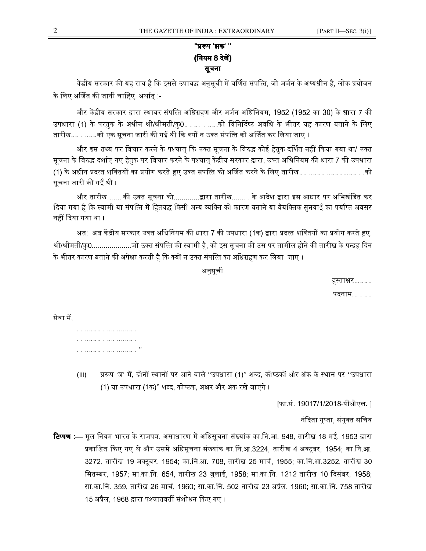# **''प्ररूप 'झक'** '' (नियम 8 देखें) सूचना

केंद्रीय सरकार की यह राय है कि इससे उपाबद्ध अनसची में वर्णित संपत्ति. जो अर्जन के अध्यधीन है. लोक प्रयोजन के लिए अर्जित की जानी चाहिए, अर्थात :-

और केंद्रीय सरकार द्वारा स्थावर संपत्ति अधिग्रहण और अर्जन अधिनियम. 1952 (1952 का 30) के धारा 7 की उपधारा (1) के परंतुक के अधीन श्री/श्रीमती/कु0...............को विनिर्दिष्ट अवधि के भीतर यह कारण बताने के लिए तारीख............को एक सचना जारी की गई थी कि क्यों न उक्त संपत्ति को अर्जित कर लिया जाए ।

और इस तथ्य पर विचार करने के पश्चात कि उक्त सचना के विरुद्ध कोई हेतक दर्शित नहीं किया गया था/ उक्त सचना के विरुद्ध दर्शाए गए हेतक पर विचार करने के पश्चात केंद्रीय सरकार द्वारा. उक्त अधिनियम की धारा 7 की उपधारा (1) के अधीन प्रदत्त शक्तियों का प्रयोग करते हुए उक्त संपत्ति को अर्जित करने के लिए तारीख..............................को सचना जारी की गई थी ।

और तारीख........की उक्त सूचना को............द्वारा तारीख..........के आदेश द्वारा इस आधार पर अभिखंडित कर दिया गया है कि स्वामी या संपत्ति में हितबद्ध किसी अन्य व्यक्ति को कारण बताने या वैयक्तिक सनवाई का पर्याप्त अवसर नहीं दिया गया था ।

अत:. अब केंद्रीय सरकार उक्त अधिनियम की धारा 7 की उपधारा (1क) द्वारा प्रदत्त शक्तियों का प्रयोग करते हुए. श्रीमती/कु0..................जो उक्त संपत्ति की स्वामी है, को इस सुचना की उस पर तामील होने की तारीख के पन्द्रह दिन के भीतर कारण बताने की अपेक्षा करती है कि क्यों न उक्त संपत्ति का अधिग्रहण कर लिया जाए ।

अनुसूची

हस्ताक्षर…….

पदनाम..........

सेवा में.

.............................. .............................. ...............................''

(iii) प्ररूप 'ञ' में, दोनों स्थानों पर आने वाले ''उपधारा (1)'' शब्द, कोष्ठकों और अंक के स्थान पर ''उपधारा (1) या उपधारा (1क)'' शब्द, कोष्ठक, अक्षर और अंक रखे जाएंगे ।

[फा.सं. 19017/1/2018-पीओएल.।]

नंदिता गुप्ता, संयुक्त सचिव

**टिप्पण :—** मल नियम भारत के राजपत्र. असाधारण में अधिसचना संख्यांक का.नि.आ. 948. तारीख 18 मई. 1953 द्वारा प्रकाशित किए गए थे और उसमें अधिसचना संख्यांक का.नि.आ.3224. तारीख 4 अक्टबर. 1954: का.नि.आ. 3272, तारीख 19 अक्टूबर, 1954; का.नि.आ. 708, तारीख 25 मार्च, 1955; का.नि.आ.3252, तारीख 30 सितम्बर, 1957; सा.का.नि. 654, तारीख 23 जुलाई, 1958; सा.का.नि. 1212 तारीख 10 दिसंबर, 1958; सा.का.नि. 359, तारीख 26 मार्च, 1960; सा.का.नि. 502 तारीख 23 अप्रैल, 1960; सा.का.नि. 758 तारीख 15 अप्रैल, 1968 द्वारा पश्चातवर्ती संशोधन किए गए ।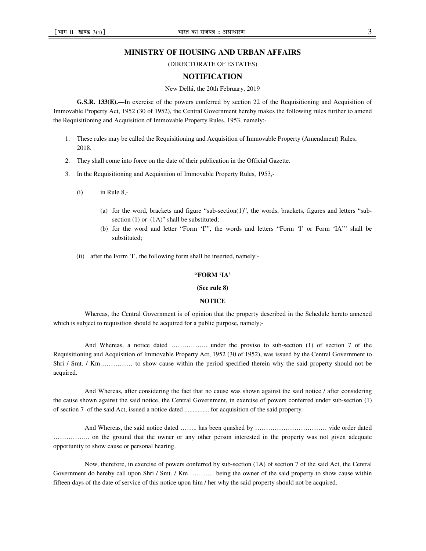### **MINISTRY OF HOUSING AND URBAN AFFAIRS**

(DIRECTORATE OF ESTATES)

## **NOTIFICATION**

#### New Delhi, the 20th February, 2019

**G.S.R. 133(E).—**In exercise of the powers conferred by section 22 of the Requisitioning and Acquisition of Immovable Property Act, 1952 (30 of 1952), the Central Government hereby makes the following rules further to amend the Requisitioning and Acquisition of Immovable Property Rules, 1953, namely:-

- 1. These rules may be called the Requisitioning and Acquisition of Immovable Property (Amendment) Rules, 2018.
- 2. They shall come into force on the date of their publication in the Official Gazette.
- 3. In the Requisitioning and Acquisition of Immovable Property Rules, 1953,-
	- $(i)$  in Rule 8,-
		- (a) for the word, brackets and figure "sub-section(1)", the words, brackets, figures and letters "subsection  $(1)$  or  $(1A)$ " shall be substituted;
		- (b) for the word and letter "Form 'I'", the words and letters "Form 'I' or Form 'IA'" shall be substituted;
	- (ii) after the Form 'I', the following form shall be inserted, namely:-

#### **"FORM 'IA'**

#### **(See rule 8)**

#### **NOTICE**

Whereas, the Central Government is of opinion that the property described in the Schedule hereto annexed which is subject to requisition should be acquired for a public purpose, namely;-

And Whereas, a notice dated …………….. under the proviso to sub-section (1) of section 7 of the Requisitioning and Acquisition of Immovable Property Act, 1952 (30 of 1952), was issued by the Central Government to Shri / Smt. / Km…………… to show cause within the period specified therein why the said property should not be acquired.

And Whereas, after considering the fact that no cause was shown against the said notice / after considering the cause shown against the said notice, the Central Government, in exercise of powers conferred under sub-section (1) of section 7 of the said Act, issued a notice dated ............... for acquisition of the said property.

And Whereas, the said notice dated …….. has been quashed by …………………………… vide order dated …………….. on the ground that the owner or any other person interested in the property was not given adequate opportunity to show cause or personal hearing.

Now, therefore, in exercise of powers conferred by sub-section (1A) of section 7 of the said Act, the Central Government do hereby call upon Shri / Smt. / Km………… being the owner of the said property to show cause within fifteen days of the date of service of this notice upon him / her why the said property should not be acquired.